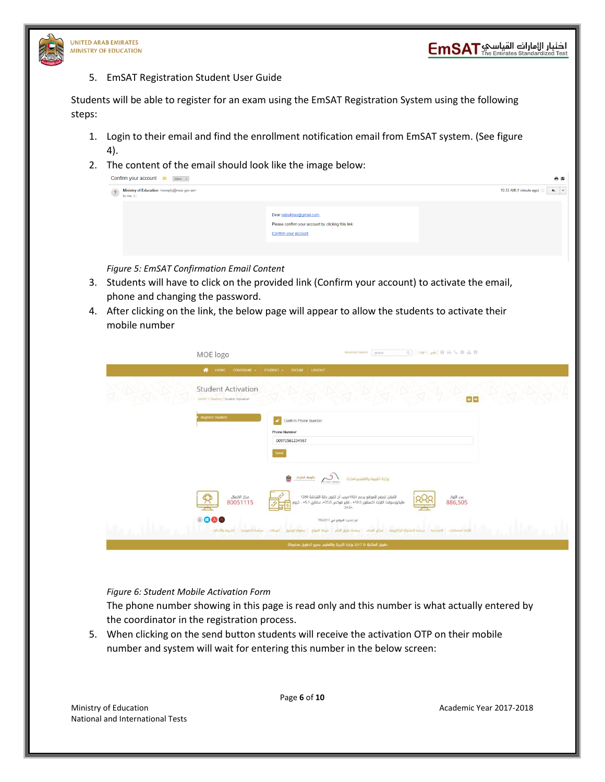

5. EmSAT Registration Student User Guide

Students will be able to register for an exam using the EmSAT Registration System using the following steps:

- 1. Login to their email and find the enrollment notification email from EmSAT system. (See figure 4).
- 2. The content of the email should look like the image below:

| Confirm your account $\Box$ Inbox x                                                         | 春園                                                                                                     |                                                     |
|---------------------------------------------------------------------------------------------|--------------------------------------------------------------------------------------------------------|-----------------------------------------------------|
| Ministry of Education <noreply@moe.gov.ae><br/><math>?</math> Ministry</noreply@moe.gov.ae> |                                                                                                        | $\overline{\phantom{0}}$<br>10:33 AM (1 minute ago) |
|                                                                                             | Dear nabukhas@gmail.com,<br>Please confirm your account by clicking this link:<br>Confirm your account |                                                     |

*Figure 5: EmSAT Confirmation Email Content*

- 3. Students will have to click on the provided link (Confirm your account) to activate the email, phone and changing the password.
- 4. After clicking on the link, the below page will appear to allow the students to activate their mobile number

| MOE logo                                                          | $Q \quad   \quad \text{Login} \quad   \quad Q \text{ if } \quad Q \quad \text{if } \quad Q \quad \text{if } \quad \text{if } \quad Q \quad \text{if } \quad Q \quad \text{if } \quad Q \quad \text{if } \quad Q \quad \text{if } \quad Q \quad \text{if } \quad Q \quad \text{if } \quad Q \quad \text{if } \quad Q \quad \text{if } \quad Q \quad \text{if } \quad Q \quad \text{if } \quad Q \quad \text{if } \quad Q \quad \text{if } \quad Q \quad \text{if } \quad Q \quad \text{if } \quad Q \quad \text{if } \quad Q \quad \text{if } \quad Q \quad \text{if }$<br>Advanced search search |
|-------------------------------------------------------------------|--------------------------------------------------------------------------------------------------------------------------------------------------------------------------------------------------------------------------------------------------------------------------------------------------------------------------------------------------------------------------------------------------------------------------------------------------------------------------------------------------------------------------------------------------------------------------------------------------|
| HOME<br>$\bullet$                                                 | CONFIGURE v STUDENT v SECURE LOGOUT                                                                                                                                                                                                                                                                                                                                                                                                                                                                                                                                                              |
| <b>Student Activation</b><br>EmSAT / Student / Student Activation | $\boxed{4}$                                                                                                                                                                                                                                                                                                                                                                                                                                                                                                                                                                                      |
| Register Student                                                  | $\mathbf{r}$<br>Confirm Phone Number<br><b>Phone Number</b><br>00971561234567<br>Send<br><b>Contact deglis</b> Contact Contact Contact Contact Contact Contact Contact Contact Contact Contact Contact Contact Contact Contact Contact Contact Contact Contact Contact Contact Contact Contact Contact Contact Contact Conta<br>وزارة-التربية-والتعليم،امارات                                                                                                                                                                                                                                    |
| مركز الاتصال<br>80051115<br>$\frac{\mu}{\mu}$                     | لأفضل تصفح للموقع يدعم 1024×يجب أن تكون دقة الشاشة 1280<br>مايكروسوفت انترنت اكسبلورر 10.0+ ، فاير فوكس 435.0+ سفاري 45.1 ، كروم<br>عدد الزوار<br>886,505<br>$39.0+$                                                                                                                                                                                                                                                                                                                                                                                                                             |
| 8000<br>تتويهات سياسة الخصوصية الشروط والأحكام                    | تم تحديث الموقع في 7/9/2017<br>قائمة المصطلحات المساعدة سياسة المشاركة الإنكترونية ميثاق العملاء سياسة حقوق النشر خريطة الموقع<br>wingle fleepb                                                                                                                                                                                                                                                                                                                                                                                                                                                  |
|                                                                   | حقوق الملكية © 2017 وزارة التربية والتعليم. جميع الحقوق محفوظة                                                                                                                                                                                                                                                                                                                                                                                                                                                                                                                                   |

#### *Figure 6: Student Mobile Activation Form*

The phone number showing in this page is read only and this number is what actually entered by the coordinator in the registration process.

5. When clicking on the send button students will receive the activation OTP on their mobile number and system will wait for entering this number in the below screen:

Ministry of Education **Academic Year 2017-2018 Academic Year 2017-2018** National and International Tests

Page **6** of **10**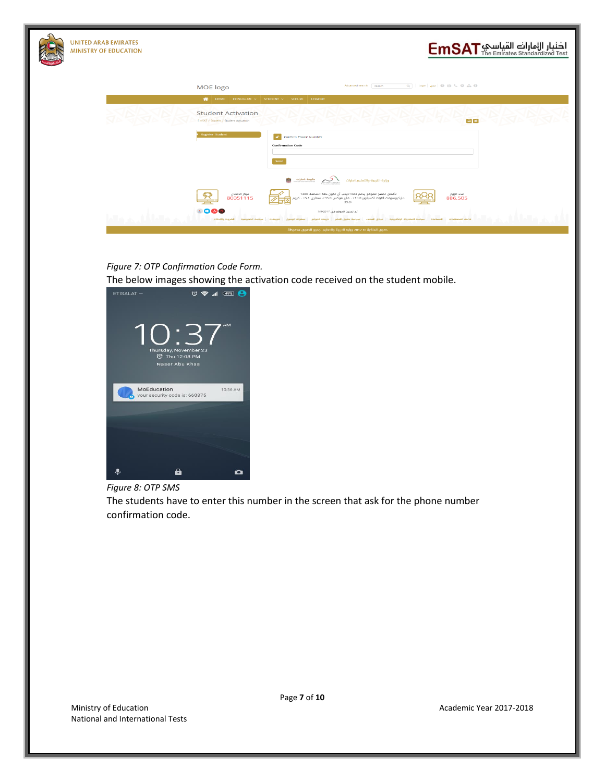

## اضنبار الإمارانة القياسي EmSAT

| MOE logo                                                          | $Q$   Login   gage   $Q$ $\ominus$ $Q$ $\rightarrow$ $Q$ $\oplus$ $Q$ $\oplus$ $Q$<br>Advanced search search                                                                                                                                                                 |
|-------------------------------------------------------------------|------------------------------------------------------------------------------------------------------------------------------------------------------------------------------------------------------------------------------------------------------------------------------|
| <b>HOME</b><br>₩                                                  | $CONFIGURE \times$ STUDENT $\vee$ SECURE LOGOUT                                                                                                                                                                                                                              |
| <b>Student Activation</b><br>EmSAT / Student / Student Activation | $\Theta$ $\Theta$                                                                                                                                                                                                                                                            |
| <b>Register Student</b>                                           | i an i<br>Confirm Phone Number<br><b>Confirmation Code</b><br>Send                                                                                                                                                                                                           |
|                                                                   | <b>Calgada</b> Caracterian Calgada<br>Caracterian Caracterian Calgada Caracterian Caracterian Caracterian Caracterian Caracterian Caracterian Caracterian Caracterian Caracterian Caracterian Caracterian Caracterian Caracterian Cara<br>¢<br>وزارة-التربية-والتعليم،امارات |
| مركز الاتصال<br>80051115<br>≏                                     | لأفضل تصفح للموقع يدعم 1024×يچب أن تكون دقة الشاشة 1280<br>مايكروسوفٽ انترنٽ اكسبلورر 10.0+ ، فاير فوكس 35.0+، سفاري  5.1+ ، كروم<br>azz Illiali<br>886,505<br>39.0+                                                                                                         |
| 8000<br>تنويهات سياسة الخصوصية الشروط والأحكام                    | تم تحديث الموقع في 7/9/2017<br>قائمه المصطلحات   المساعدة   سياسة المشاركة الإلكترونية   ميثاق العملاء   سياسة حقوق النشر<br><b><i>ugalb</i></b> llegel,<br>خريطة الموقع                                                                                                     |
|                                                                   | حقوق الملكية ۞ 7017 وزارة التربية والتعليم. جميع الحقوق محفوظة                                                                                                                                                                                                               |

#### *Figure 7: OTP Confirmation Code Form.*

The below images showing the activation code received on the student mobile.



#### *Figure 8: OTP SMS*

The students have to enter this number in the screen that ask for the phone number confirmation code.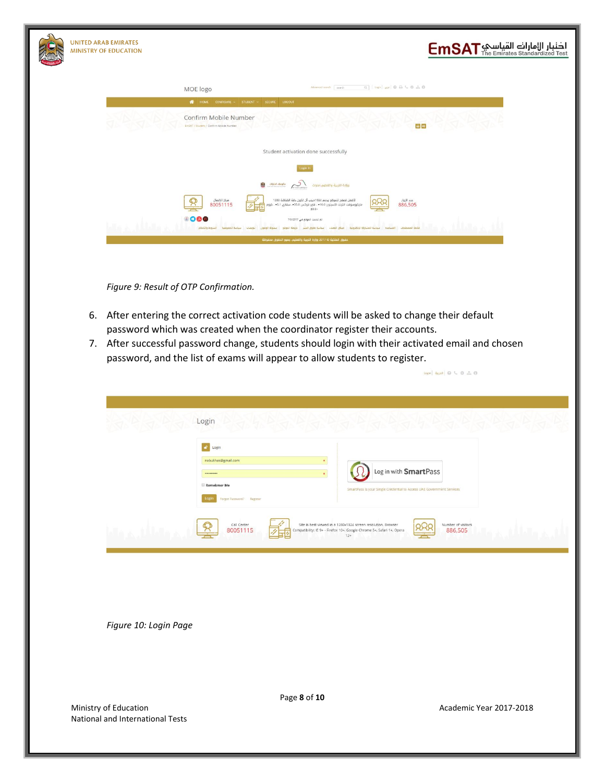

**UNITED ARAB EMIRATES MINISTRY OF EDUCATION** 

# اضنبار الإمارانة القياسي EmSAT

| MOE logo                                                                                 | Advanced search search                                                                                                                                    | $Q \rightarrow Q$ (topic get $Q$ as $Q$ as $Q$          |  |
|------------------------------------------------------------------------------------------|-----------------------------------------------------------------------------------------------------------------------------------------------------------|---------------------------------------------------------|--|
| HOME CONFIGURE ~ STUDENT ~ SECURE<br>LOGOUT<br>$\bullet$                                 |                                                                                                                                                           |                                                         |  |
| Confirm Mobile Number<br>EmSAT / Student / Confirm Mobile Number                         |                                                                                                                                                           | $\Theta$                                                |  |
|                                                                                          | Student activation done successfully                                                                                                                      |                                                         |  |
|                                                                                          | Login In                                                                                                                                                  |                                                         |  |
| $\frac{d}{d}$<br>Ù                                                                       | وزارة-التربية-والتعليم امارات                                                                                                                             |                                                         |  |
| مرکز الائصال<br>80051115                                                                 | لأفضل تصفح للموقع يدعم 1024×يجب أن تكون دقة الشاشة 1280<br>مايكروسوفت الثرات اكسبلورر 10.0+ ، فاير فوكس 35.0+ ، سفاري 5.1+ ، كروم <mark>:</mark><br>+0.0+ | عدد الزوار<br>886,505                                   |  |
| 8000<br>Gunganil Bulus Losgu<br>الشروط والأحكام<br>cade lleets<br><b>Hanall distinct</b> | تم تحديث الموقع في 7/9/2017<br>مبتاق العملاء<br>سأمنة حقوق النشر                                                                                          | فاتعة المصطلحات   المساعدة   سياسة المشاركة الإنكترونية |  |
|                                                                                          | حقوق الملكية © 2017 وزارة الثربية والتعليم. جميع الحقوق محفوظة                                                                                            |                                                         |  |
|                                                                                          |                                                                                                                                                           |                                                         |  |

*Figure 9: Result of OTP Confirmation.*

- 6. After entering the correct activation code students will be asked to change their default password which was created when the coordinator register their accounts.
- 7. After successful password change, students should login with their activated email and chosen password, and the list of exams will appear to allow students to register.

| Login<br>Login<br><b>P</b><br>nabukhas@gmail.com      |                                                                                                                                                                                                               |  |
|-------------------------------------------------------|---------------------------------------------------------------------------------------------------------------------------------------------------------------------------------------------------------------|--|
| <br>Remebmer Me<br>Forgot Password? Register<br>Logir | Log in with SmartPass<br>SmartPass is your Single Credential to Access UAE Government Services                                                                                                                |  |
| Call Center<br>80051115                               | Number of visitors<br>886,505<br>Site is best viewed in a 1280x1024 screen resolution. Browser<br>Compatibility: IE 9+ - Firefox 10+. Google Chrome 5+. Safari 1+. Opera<br>$\overline{\phantom{a}}$<br>$12+$ |  |

*Figure 10: Login Page*

Page **8** of **10**

 $\log\left|\left|\left.\right.\right\vert\right|\log\left|\left.\right|\right|\left.\right|\otimes\left|\left.\right\vert\right|\right|\left.\right|\otimes\left|\left.\right\vert\right|\right|\left.\right|\otimes\left|\left.\right\vert\right|\left.\right|\right|\otimes\left|\left.\right|\right|\left.\right|\right)$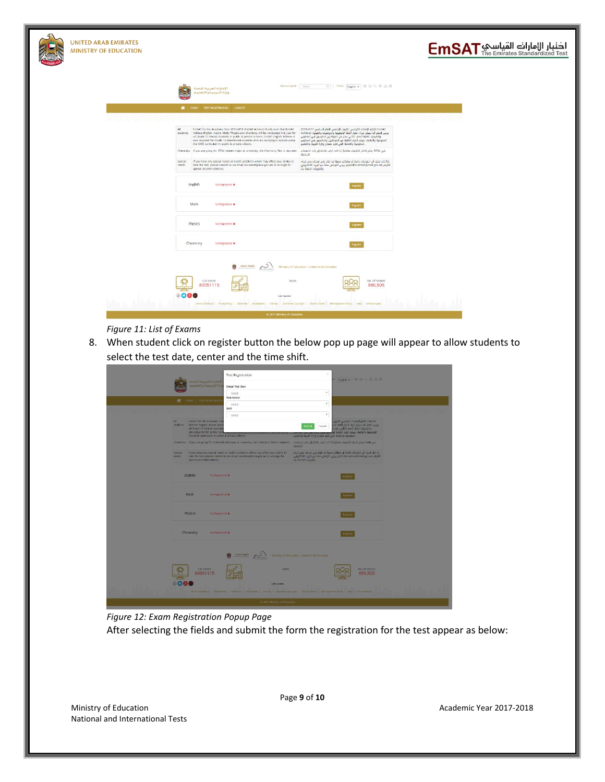| <b>UNITED ARAB EMIRATES</b><br><b>MINISTRY OF EDUCATION</b> |                                                                                                                                                                                                                                                                                                                                                                                                                    |                                                                                                                                                                                                                                                                                                                                                                    | ادنبار الإمارات القياسي EmSAT |
|-------------------------------------------------------------|--------------------------------------------------------------------------------------------------------------------------------------------------------------------------------------------------------------------------------------------------------------------------------------------------------------------------------------------------------------------------------------------------------------------|--------------------------------------------------------------------------------------------------------------------------------------------------------------------------------------------------------------------------------------------------------------------------------------------------------------------------------------------------------------------|-------------------------------|
|                                                             | الامارات العربية التحدة<br>وزارة الشريبية والشعليم                                                                                                                                                                                                                                                                                                                                                                 | $\text{Q} \quad   \quad \text{Profle} \quad \text{English} \ \bullet \quad \text{Q} \quad \text{Q} \ \bullet \text{Q} \quad \text{ch} \quad \text{Q}$<br>Advance Search Search                                                                                                                                                                                     |                               |
|                                                             | HOME TEST REGISTRATION LOGOUT                                                                                                                                                                                                                                                                                                                                                                                      |                                                                                                                                                                                                                                                                                                                                                                    |                               |
|                                                             | All<br>EmSAT for the Academic Year 2017-2018 (EmSAT Achieve) Kindly note that EmSAT<br>students Achieve English, Arabic Math. Physics and chemistry will be conducted this year for<br>all Grade 12 Emirati students in public & private schools. EmSAT English Achieve is<br>also required for Grade 12 non-Emirati students who are studying in schools using<br>the MOE curriculum in public & private schools. | EmSAT) اختيار الإمارات القياسي للقبول الجامعي للعام الدراسي 2017-2018<br>برجي العلم أنه سيتم إجراء اختبار أللغة الإنجليزية وألرياضيات والفيزياء (Achieve<br>والكيمياء لطلبة الصف الثاني عشر من المواطنين الدارسين في المدارس<br>الحكومية والخاصة، سيتم اختيار الطلبة غير المواطنين والدارسين في المدارس<br>الحكومية والخاصة التى تثبو منهاج وزارة التربية والتعليم |                               |
|                                                             | في STEM بعلبر اخليار الخيمياء متطلباً إذا كنت ترغب بالالتحاق بأحد تخصصات . Chemistry - If you are going for STEM related major at university, the Chemistry Test is required. . وتقبل اختيار الخيمياء متطلباً إذا كنت ترغب با                                                                                                                                                                                      | deptal.                                                                                                                                                                                                                                                                                                                                                            |                               |
|                                                             | Special<br>If you have any special needs or health problems which may affect your ability to<br>needs<br>take the test, please contact us via email (sn.emsat@moe.gov.ae) to arrange for<br>special accommodations.                                                                                                                                                                                                | إذا كان لديك أي احتياجات خاصة أو مشاكل صحية قد تؤثر على قدرتك على إجراء<br>اللقيام (sn.emsat@moe.gov.ae)الاختبار يرجى النواصل معنا عبر البريد الالكتروني<br>بالترتيبات الخاصة بك                                                                                                                                                                                   |                               |
|                                                             | English<br>NotRegistered *                                                                                                                                                                                                                                                                                                                                                                                         |                                                                                                                                                                                                                                                                                                                                                                    |                               |
|                                                             | Math<br>NotRegistered                                                                                                                                                                                                                                                                                                                                                                                              |                                                                                                                                                                                                                                                                                                                                                                    |                               |
|                                                             | Physics<br>NotRegistered *                                                                                                                                                                                                                                                                                                                                                                                         |                                                                                                                                                                                                                                                                                                                                                                    |                               |
|                                                             | Chemistry<br>NotRenistered *                                                                                                                                                                                                                                                                                                                                                                                       |                                                                                                                                                                                                                                                                                                                                                                    |                               |
|                                                             | alphal.deglis Company                                                                                                                                                                                                                                                                                                                                                                                              | Ministry of Education, United Arab Emirates                                                                                                                                                                                                                                                                                                                        |                               |
|                                                             | Call Center<br>Notes<br>80051115<br>1000<br>Last Update                                                                                                                                                                                                                                                                                                                                                            | No. Of Visitors<br>886,505                                                                                                                                                                                                                                                                                                                                         |                               |
|                                                             | Terms Conditions PrivacyPolicy Disclaimer Accessibility Stemap Disclaimer Copyright Closen Charter eParticipations Policy Help Terminologies<br>C 2017 Ministry of Education                                                                                                                                                                                                                                       |                                                                                                                                                                                                                                                                                                                                                                    |                               |

#### *Figure 11: List of Exams*

8. When student click on register button the below pop up page will appear to allow students to select the test date, center and the time shift.

|                  |                                                                                                                                         | <b>Test Registration</b>                                                                                                                                                                                                  | ×                                                                                                                                                                      |                                                                                                                                                                    |  |
|------------------|-----------------------------------------------------------------------------------------------------------------------------------------|---------------------------------------------------------------------------------------------------------------------------------------------------------------------------------------------------------------------------|------------------------------------------------------------------------------------------------------------------------------------------------------------------------|--------------------------------------------------------------------------------------------------------------------------------------------------------------------|--|
|                  | الأمبارات العربية التحدة                                                                                                                |                                                                                                                                                                                                                           |                                                                                                                                                                        | English . B & L C & C                                                                                                                                              |  |
|                  | ارتزالت سمك والتدا                                                                                                                      | <b>Emset Test Date</b>                                                                                                                                                                                                    |                                                                                                                                                                        |                                                                                                                                                                    |  |
|                  |                                                                                                                                         | Select-                                                                                                                                                                                                                   | $\cdot$                                                                                                                                                                |                                                                                                                                                                    |  |
|                  | <b>WE HOME RIST RESISTIATED</b>                                                                                                         | Test Center                                                                                                                                                                                                               | ٠                                                                                                                                                                      |                                                                                                                                                                    |  |
|                  |                                                                                                                                         | -Select-<br>Shift                                                                                                                                                                                                         |                                                                                                                                                                        |                                                                                                                                                                    |  |
|                  |                                                                                                                                         | -select-                                                                                                                                                                                                                  | $\star$                                                                                                                                                                |                                                                                                                                                                    |  |
| All              | EmSAT for the Academic Yea<br>students Achieve English, Arabic, Math<br>all Grade 12 Emirati students<br>also required for Grade 12 min |                                                                                                                                                                                                                           | Submit<br>Cancel                                                                                                                                                       | The Highlight Profile Hashing Hassi<br>بدجى العلم أنه سيتم إجراء احتبار أللغة الإن<br>والكيمياء لظلبة الصف الثاني عشرم<br>الحكومية والخاصة، سيتم اختبار الطلبة غير |  |
|                  | the MOE curriculum in public & private schools.                                                                                         |                                                                                                                                                                                                                           | الحكومية والخاصة الثي تثبع منعاح وزارة التربية والثعنيم                                                                                                                |                                                                                                                                                                    |  |
|                  |                                                                                                                                         | في STEM وعلى الكيمياء متطلباً إذا كنت ترغب بالانتحاق بأحد تخصصات . Chemistry - if you are going for STEM related major at university, the Chemistry Test is required. في الطلب الكيمياء متطلباً إذا كنت ترغب بالانتحاق با | deals).                                                                                                                                                                |                                                                                                                                                                    |  |
| Special<br>needs | special accommodations.                                                                                                                 | If you have any special needs or health problems which may affect your ability to<br>take the test, please contact us wa email (smemsab@moe.gov.ae) to arrange for                                                        | إذا كان لديك أي احتياجات خاصة أو مشاكل صحية قد تؤثر على قدرتك على إجراء<br>القبام (source gov.ae) الكتيار برجى التواصل معنا عبر البريد الانكتوني<br>di solo l'objetti. |                                                                                                                                                                    |  |
|                  |                                                                                                                                         |                                                                                                                                                                                                                           |                                                                                                                                                                        |                                                                                                                                                                    |  |
|                  | English<br>NotRegistered x                                                                                                              |                                                                                                                                                                                                                           |                                                                                                                                                                        |                                                                                                                                                                    |  |
|                  |                                                                                                                                         |                                                                                                                                                                                                                           |                                                                                                                                                                        |                                                                                                                                                                    |  |
|                  | Math<br>Notificantered x                                                                                                                |                                                                                                                                                                                                                           |                                                                                                                                                                        |                                                                                                                                                                    |  |
|                  |                                                                                                                                         |                                                                                                                                                                                                                           |                                                                                                                                                                        |                                                                                                                                                                    |  |
|                  | <b>Physics</b><br>NutRegistered x                                                                                                       |                                                                                                                                                                                                                           |                                                                                                                                                                        |                                                                                                                                                                    |  |
|                  |                                                                                                                                         |                                                                                                                                                                                                                           |                                                                                                                                                                        |                                                                                                                                                                    |  |
|                  | Chemistry<br>Nutting istered *                                                                                                          |                                                                                                                                                                                                                           |                                                                                                                                                                        |                                                                                                                                                                    |  |
|                  |                                                                                                                                         |                                                                                                                                                                                                                           |                                                                                                                                                                        |                                                                                                                                                                    |  |
|                  |                                                                                                                                         | Dental Del                                                                                                                                                                                                                | Ministry of Education. United Arab Emirates                                                                                                                            |                                                                                                                                                                    |  |
|                  |                                                                                                                                         |                                                                                                                                                                                                                           |                                                                                                                                                                        |                                                                                                                                                                    |  |
|                  | Call Center                                                                                                                             | Notes:                                                                                                                                                                                                                    |                                                                                                                                                                        | No. Of Visitors                                                                                                                                                    |  |
|                  | 80051115                                                                                                                                |                                                                                                                                                                                                                           |                                                                                                                                                                        | 886.505                                                                                                                                                            |  |
|                  |                                                                                                                                         | Lest Update                                                                                                                                                                                                               |                                                                                                                                                                        |                                                                                                                                                                    |  |
|                  |                                                                                                                                         | Terra Condition - Principlinky - Dealtoner - Accounting - Searche - Dealtone - Case Output - differentiations Princy - Help - Territoriogen                                                                               |                                                                                                                                                                        |                                                                                                                                                                    |  |
|                  |                                                                                                                                         |                                                                                                                                                                                                                           |                                                                                                                                                                        |                                                                                                                                                                    |  |
|                  |                                                                                                                                         | to 2017 Ministry of Education                                                                                                                                                                                             |                                                                                                                                                                        |                                                                                                                                                                    |  |

### *Figure 12: Exam Registration Popup Page*

After selecting the fields and submit the form the registration for the test appear as below: